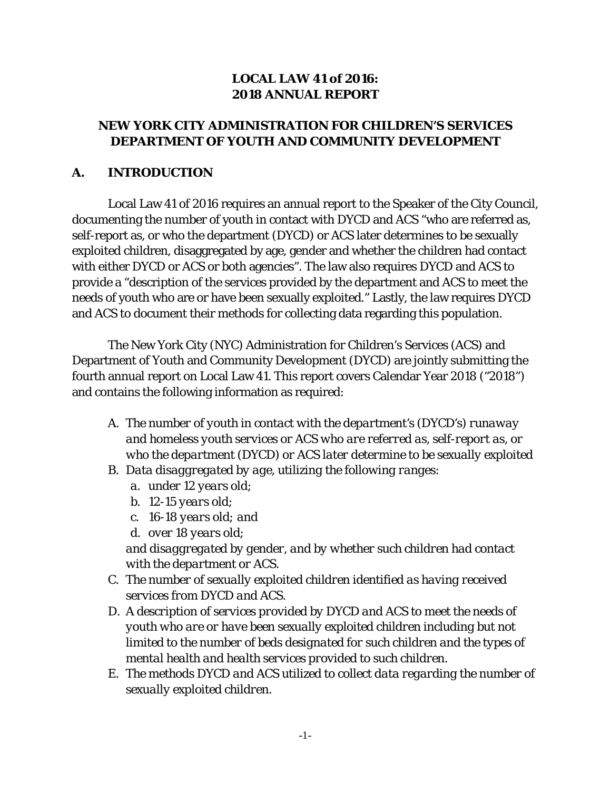# **LOCAL LAW 41 of 2016: 2018 ANNUAL REPORT**

# **NEW YORK CITY ADMINISTRATION FOR CHILDREN'S SERVICES DEPARTMENT OF YOUTH AND COMMUNITY DEVELOPMENT**

# **A. INTRODUCTION**

Local Law 41 of 2016 requires an annual report to the Speaker of the City Council, documenting the number of youth in contact with DYCD and ACS "who are referred as, self-report as, or who the department (DYCD) or ACS later determines to be sexually exploited children, disaggregated by age, gender and whether the children had contact with either DYCD or ACS or both agencies". The law also requires DYCD and ACS to provide a "description of the services provided by the department and ACS to meet the needs of youth who are or have been sexually exploited." Lastly, the law requires DYCD and ACS to document their methods for collecting data regarding this population.

The New York City (NYC) Administration for Children's Services (ACS) and Department of Youth and Community Development (DYCD) are jointly submitting the fourth annual report on Local Law 41. This report covers Calendar Year 2018 ("2018") and contains the following information as required:

- *A. The number of youth in contact with the department's (DYCD's) runaway and homeless youth services or ACS who are referred as, self-report as, or who the department (DYCD) or ACS later determine to be sexually exploited*
- *B. Data disaggregated by age, utilizing the following ranges:* 
	- *a. under 12 years old;*
	- *b. 12-15 years old;*
	- *c. 16-18 years old; and*
	- *d. over 18 years old;*

*and disaggregated by gender, and by whether such children had contact with the department or ACS.*

- *C. The number of sexually exploited children identified as having received services from DYCD and ACS.*
- *D. A description of services provided by DYCD and ACS to meet the needs of youth who are or have been sexually exploited children including but not limited to the number of beds designated for such children and the types of mental health and health services provided to such children.*
- *E. The methods DYCD and ACS utilized to collect data regarding the number of sexually exploited children.*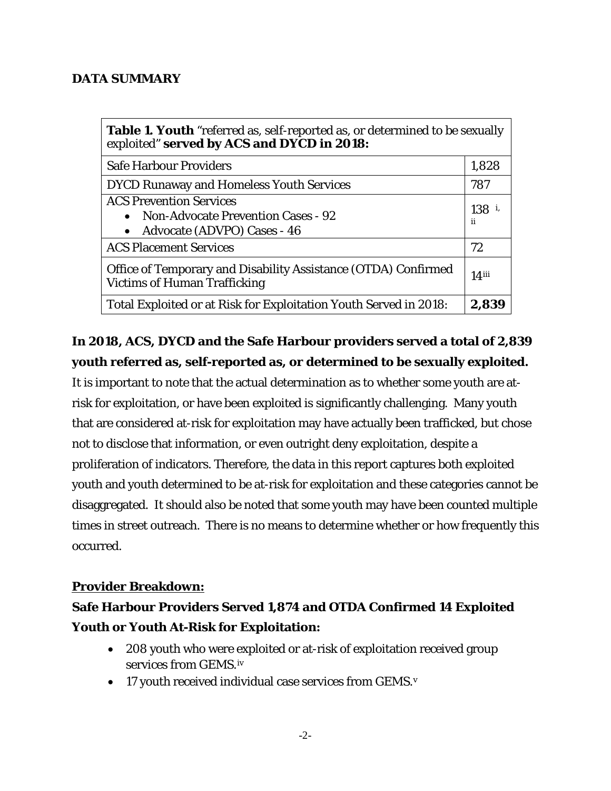# **DATA SUMMARY**

| <b>Table 1. Youth</b> "referred as, self-reported as, or determined to be sexually<br>exploited" served by ACS and DYCD in 2018: |       |  |  |  |  |  |  |  |
|----------------------------------------------------------------------------------------------------------------------------------|-------|--|--|--|--|--|--|--|
| <b>Safe Harbour Providers</b>                                                                                                    |       |  |  |  |  |  |  |  |
| <b>DYCD Runaway and Homeless Youth Services</b>                                                                                  |       |  |  |  |  |  |  |  |
| <b>ACS Prevention Services</b><br>• Non-Advocate Prevention Cases - 92<br>Advocate (ADVPO) Cases - 46                            |       |  |  |  |  |  |  |  |
| <b>ACS Placement Services</b>                                                                                                    | 72    |  |  |  |  |  |  |  |
| Office of Temporary and Disability Assistance (OTDA) Confirmed<br><b>Victims of Human Trafficking</b>                            |       |  |  |  |  |  |  |  |
| Total Exploited or at Risk for Exploitation Youth Served in 2018:                                                                | 2,839 |  |  |  |  |  |  |  |

# **In 2018, ACS, DYCD and the Safe Harbour providers served a total of 2,839 youth referred as, self-reported as, or determined to be sexually exploited.**

It is important to note that the actual determination as to whether some youth are atrisk for exploitation, or have been exploited is significantly challenging. Many youth that are considered at-risk for exploitation may have actually been trafficked, but chose not to disclose that information, or even outright deny exploitation, despite a proliferation of indicators. Therefore, the data in this report captures both exploited youth and youth determined to be at-risk for exploitation and these categories cannot be disaggregated. It should also be noted that some youth may have been counted multiple times in street outreach. There is no means to determine whether or how frequently this occurred.

# **Provider Breakdown:**

# **Safe Harbour Providers Served 1,874 and OTDA Confirmed 14 Exploited Youth or Youth At-Risk for Exploitation:**

- 208 youth who were exploited or at-risk of exploitation received group services from GEMS.[iv](#page-29-3)
- 17 youth recei[v](#page-29-4)ed individual case services from GEMS.<sup>v</sup>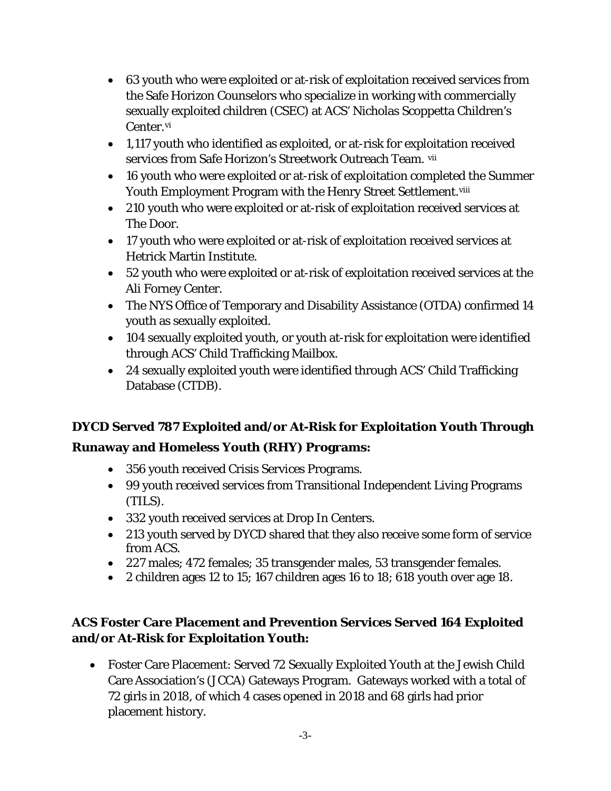- 63 youth who were exploited or at-risk of exploitation received services from the Safe Horizon Counselors who specialize in working with commercially sexually exploited children (CSEC) at ACS' Nicholas Scoppetta Children's Center.[vi](#page-30-0)
- 1,117 youth who identified as exploited, or at-risk for exploitation received services from Safe Horizon's Streetwork Outreach Team. [vii](#page-30-1)
- 16 youth who were exploited or at-risk of exploitation completed the Summer Youth Employment Program with the Henry Street Settlement.<sup>[viii](#page-30-2)</sup>
- 210 youth who were exploited or at-risk of exploitation received services at The Door.
- 17 youth who were exploited or at-risk of exploitation received services at Hetrick Martin Institute.
- 52 youth who were exploited or at-risk of exploitation received services at the Ali Forney Center.
- The NYS Office of Temporary and Disability Assistance (OTDA) confirmed 14 youth as sexually exploited.
- 104 sexually exploited youth, or youth at-risk for exploitation were identified through ACS' Child Trafficking Mailbox.
- 24 sexually exploited youth were identified through ACS' Child Trafficking Database (CTDB).

# **DYCD Served 787 Exploited and/or At-Risk for Exploitation Youth Through**

# **Runaway and Homeless Youth (RHY) Programs:**

- 356 youth received Crisis Services Programs.
- 99 youth received services from Transitional Independent Living Programs (TILS).
- 332 youth received services at Drop In Centers.
- 213 youth served by DYCD shared that they also receive some form of service from ACS.
- 227 males; 472 females; 35 transgender males, 53 transgender females.
- 2 children ages 12 to 15; 167 children ages 16 to 18; 618 youth over age 18.

# **ACS Foster Care Placement and Prevention Services Served 164 Exploited and/or At-Risk for Exploitation Youth:**

• Foster Care Placement: Served 72 Sexually Exploited Youth at the Jewish Child Care Association's (JCCA) Gateways Program. Gateways worked with a total of 72 girls in 2018, of which 4 cases opened in 2018 and 68 girls had prior placement history.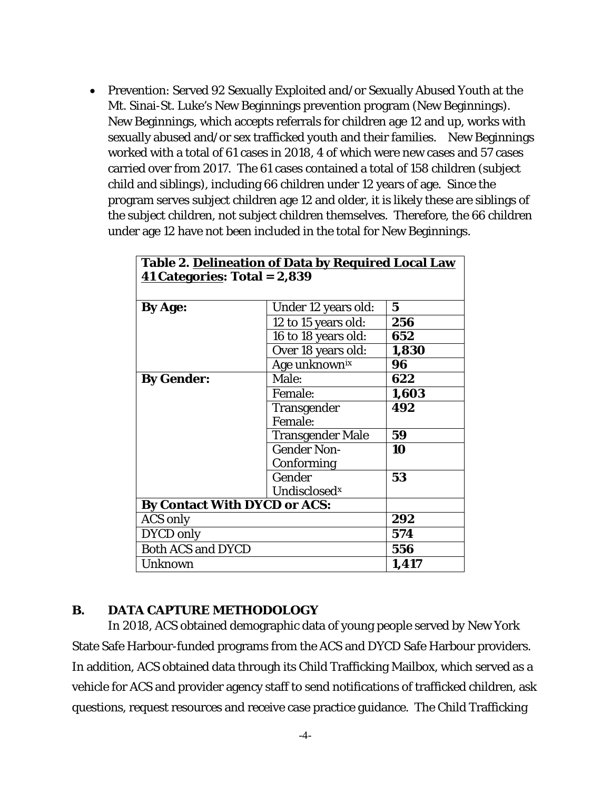• Prevention: Served 92 Sexually Exploited and/or Sexually Abused Youth at the Mt. Sinai-St. Luke's New Beginnings prevention program (New Beginnings). New Beginnings, which accepts referrals for children age 12 and up, works with sexually abused and/or sex trafficked youth and their families. New Beginnings worked with a total of 61 cases in 2018, 4 of which were new cases and 57 cases carried over from 2017. The 61 cases contained a total of 158 children (subject child and siblings), including 66 children under 12 years of age. Since the program serves subject children age 12 and older, it is likely these are siblings of the subject children, not subject children themselves. Therefore, the 66 children under age 12 have not been included in the total for New Beginnings.

| <b>By Age:</b>                      | Under 12 years old:      | 5     |
|-------------------------------------|--------------------------|-------|
|                                     | 12 to 15 years old:      | 256   |
|                                     | 16 to 18 years old:      | 652   |
|                                     | Over 18 years old:       | 1,830 |
|                                     | Age unknownix            | 96    |
| <b>By Gender:</b>                   | Male:                    | 622   |
|                                     | <b>Female:</b>           | 1,603 |
|                                     | Transgender              | 492   |
|                                     | <b>Female:</b>           |       |
|                                     | <b>Transgender Male</b>  | 59    |
|                                     | <b>Gender Non-</b>       | 10    |
|                                     | Conforming               |       |
|                                     | Gender                   | 53    |
|                                     | Undisclosed <sup>x</sup> |       |
| <b>By Contact With DYCD or ACS:</b> |                          |       |
| <b>ACS</b> only                     |                          | 292   |
| DYCD only                           |                          | 574   |
| <b>Both ACS and DYCD</b>            |                          | 556   |
| Unknown                             |                          | 1,417 |

# **Table 2. Delineation of Data by Required Local Law 41 Categories: Total = 2,839**

### **B. DATA CAPTURE METHODOLOGY**

In 2018, ACS obtained demographic data of young people served by New York State Safe Harbour-funded programs from the ACS and DYCD Safe Harbour providers. In addition, ACS obtained data through its Child Trafficking Mailbox, which served as a vehicle for ACS and provider agency staff to send notifications of trafficked children, ask questions, request resources and receive case practice guidance. The Child Trafficking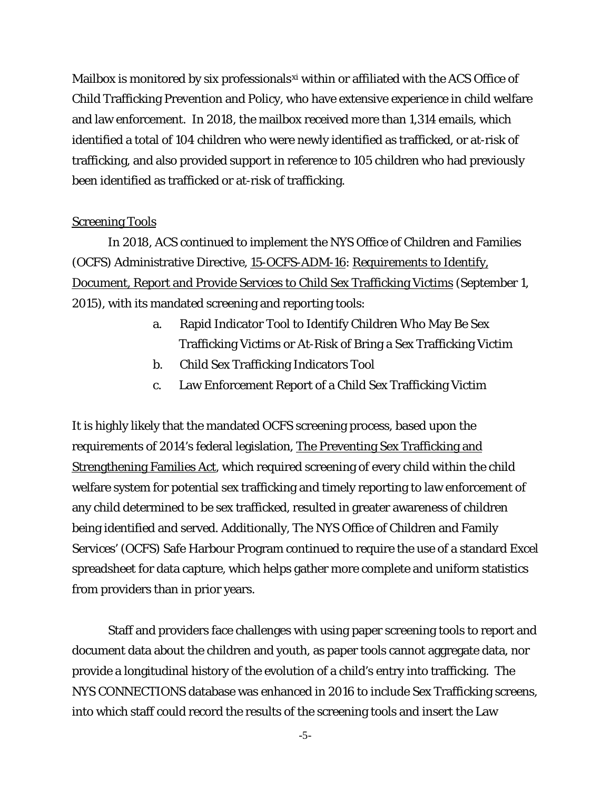Mailbox is monitored by six professionals<sup>[xi](#page-30-5)</sup> within or affiliated with the ACS Office of Child Trafficking Prevention and Policy, who have extensive experience in child welfare and law enforcement. In 2018, the mailbox received more than 1,314 emails, which identified a total of 104 children who were newly identified as trafficked, or at-risk of trafficking, and also provided support in reference to 105 children who had previously been identified as trafficked or at-risk of trafficking.

#### Screening Tools

In 2018, ACS continued to implement the NYS Office of Children and Families (OCFS) Administrative Directive, 15-OCFS-ADM-16: Requirements to Identify, Document, Report and Provide Services to Child Sex Trafficking Victims (September 1, 2015), with its mandated screening and reporting tools:

- a. Rapid Indicator Tool to Identify Children Who May Be Sex Trafficking Victims or At-Risk of Bring a Sex Trafficking Victim
- b. Child Sex Trafficking Indicators Tool
- c. Law Enforcement Report of a Child Sex Trafficking Victim

It is highly likely that the mandated OCFS screening process, based upon the requirements of 2014's federal legislation, The Preventing Sex Trafficking and Strengthening Families Act, which required screening of every child within the child welfare system for potential sex trafficking and timely reporting to law enforcement of any child determined to be sex trafficked, resulted in greater awareness of children being identified and served. Additionally, The NYS Office of Children and Family Services' (OCFS) Safe Harbour Program continued to require the use of a standard Excel spreadsheet for data capture, which helps gather more complete and uniform statistics from providers than in prior years.

Staff and providers face challenges with using paper screening tools to report and document data about the children and youth, as paper tools cannot aggregate data, nor provide a longitudinal history of the evolution of a child's entry into trafficking. The NYS CONNECTIONS database was enhanced in 2016 to include Sex Trafficking screens, into which staff could record the results of the screening tools and insert the Law

-5-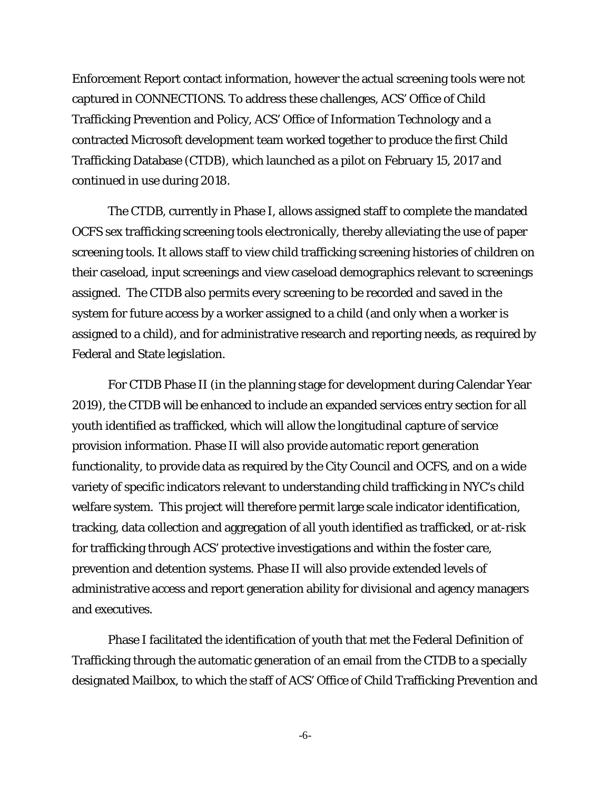Enforcement Report contact information, however the actual screening tools were not captured in CONNECTIONS. To address these challenges, ACS' Office of Child Trafficking Prevention and Policy, ACS' Office of Information Technology and a contracted Microsoft development team worked together to produce the first Child Trafficking Database (CTDB), which launched as a pilot on February 15, 2017 and continued in use during 2018.

The CTDB, currently in Phase I, allows assigned staff to complete the mandated OCFS sex trafficking screening tools electronically, thereby alleviating the use of paper screening tools. It allows staff to view child trafficking screening histories of children on their caseload, input screenings and view caseload demographics relevant to screenings assigned. The CTDB also permits every screening to be recorded and saved in the system for future access by a worker assigned to a child (and only when a worker is assigned to a child), and for administrative research and reporting needs, as required by Federal and State legislation.

For CTDB Phase II (in the planning stage for development during Calendar Year 2019), the CTDB will be enhanced to include an expanded services entry section for all youth identified as trafficked, which will allow the longitudinal capture of service provision information. Phase II will also provide automatic report generation functionality, to provide data as required by the City Council and OCFS, and on a wide variety of specific indicators relevant to understanding child trafficking in NYC's child welfare system. This project will therefore permit large scale indicator identification, tracking, data collection and aggregation of all youth identified as trafficked, or at-risk for trafficking through ACS' protective investigations and within the foster care, prevention and detention systems. Phase II will also provide extended levels of administrative access and report generation ability for divisional and agency managers and executives.

Phase I facilitated the identification of youth that met the Federal Definition of Trafficking through the automatic generation of an email from the CTDB to a specially designated Mailbox, to which the staff of ACS' Office of Child Trafficking Prevention and

-6-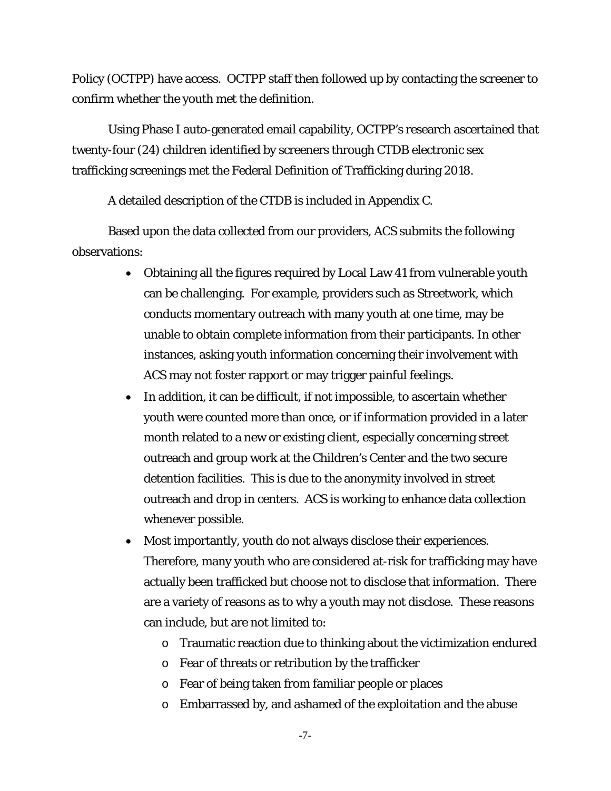Policy (OCTPP) have access. OCTPP staff then followed up by contacting the screener to confirm whether the youth met the definition.

Using Phase I auto-generated email capability, OCTPP's research ascertained that twenty-four (24) children identified by screeners through CTDB electronic sex trafficking screenings met the Federal Definition of Trafficking during 2018.

A detailed description of the CTDB is included in Appendix C.

Based upon the data collected from our providers, ACS submits the following observations:

- Obtaining all the figures required by Local Law 41 from vulnerable youth can be challenging. For example, providers such as Streetwork, which conducts momentary outreach with many youth at one time, may be unable to obtain complete information from their participants. In other instances, asking youth information concerning their involvement with ACS may not foster rapport or may trigger painful feelings.
- In addition, it can be difficult, if not impossible, to ascertain whether youth were counted more than once, or if information provided in a later month related to a new or existing client, especially concerning street outreach and group work at the Children's Center and the two secure detention facilities. This is due to the anonymity involved in street outreach and drop in centers. ACS is working to enhance data collection whenever possible.
- Most importantly, youth do not always disclose their experiences. Therefore, many youth who are considered at-risk for trafficking may have actually been trafficked but choose not to disclose that information. There are a variety of reasons as to why a youth may not disclose. These reasons can include, but are not limited to:
	- o Traumatic reaction due to thinking about the victimization endured
	- o Fear of threats or retribution by the trafficker
	- o Fear of being taken from familiar people or places
	- o Embarrassed by, and ashamed of the exploitation and the abuse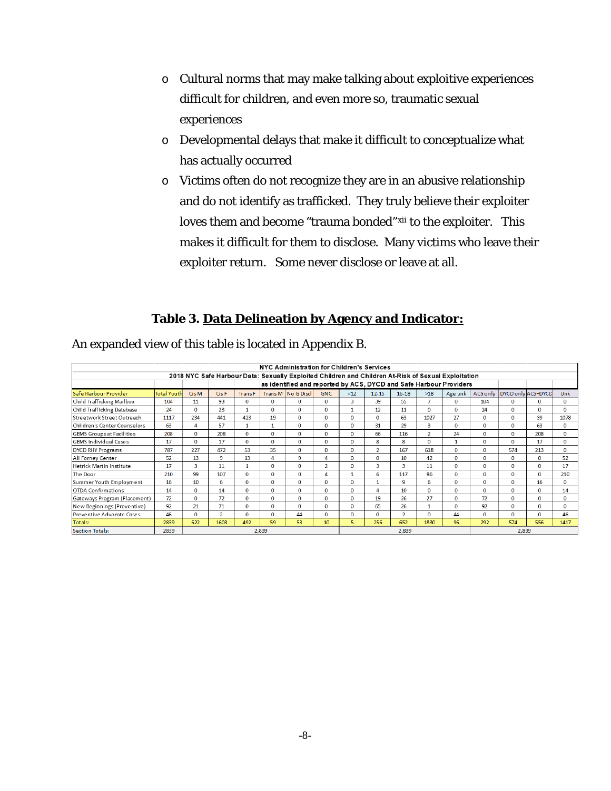- o Cultural norms that may make talking about exploitive experiences difficult for children, and even more so, traumatic sexual experiences
- o Developmental delays that make it difficult to conceptualize what has actually occurred
- o Victims often do not recognize they are in an abusive relationship and do not identify as trafficked. They truly believe their exploiter loves them and become "trauma bonded" [xii](#page-30-6) to the exploiter. This makes it difficult for them to disclose. Many victims who leave their exploiter return. Some never disclose or leave at all.

#### **Table 3. Data Delineation by Agency and Indicator:**

| NYC Administration for Children's Services                                                          |                    |                                        |                                                                                                                                                                         |              |              |              |               |             |                |          |                |                                                                    |          |              |              |              |
|-----------------------------------------------------------------------------------------------------|--------------------|----------------------------------------|-------------------------------------------------------------------------------------------------------------------------------------------------------------------------|--------------|--------------|--------------|---------------|-------------|----------------|----------|----------------|--------------------------------------------------------------------|----------|--------------|--------------|--------------|
| 2018 NYC Safe Harbour Data: Sexually Exploited Children and Children At-Risk of Sexual Exploitation |                    |                                        |                                                                                                                                                                         |              |              |              |               |             |                |          |                |                                                                    |          |              |              |              |
|                                                                                                     |                    |                                        |                                                                                                                                                                         |              |              |              |               |             |                |          |                | as identified and reported by ACS, DYCD and Safe Harbour Providers |          |              |              |              |
| Safe Harbour Provider                                                                               | <b>Total Youth</b> | Cis M                                  | Trans M No G Discl<br><b>GNC</b><br>$12 - 15$<br>$16 - 18$<br>DYCD only ACS+DYCD<br><b>Unk</b><br>< 12<br>$>18$<br><b>ACS only</b><br>Cis F<br><b>TransF</b><br>Age unk |              |              |              |               |             |                |          |                |                                                                    |          |              |              |              |
| Child Trafficking Mailbox                                                                           | 104                | 11                                     | 93                                                                                                                                                                      | 0            | $\mathbf{0}$ | $\mathbf{0}$ | $\mathbf{0}$  | 3           | 39             | 55       | $\overline{ }$ | $\Omega$                                                           | 104      | $\mathbf{0}$ | $\mathbf{0}$ | $\Omega$     |
| Child Trafficking Database                                                                          | 24                 | $\mathbf{0}$                           | 23                                                                                                                                                                      |              | $\mathbf{0}$ | $\mathbf{0}$ | $\Omega$      |             | 12             | 11       | $\Omega$       | $\Omega$                                                           | 24       | $\mathbf{0}$ | $\Omega$     | $\Omega$     |
| Streetwork Street Outreach                                                                          | 1117               | 234<br>423<br>441                      |                                                                                                                                                                         |              | 19           | $\Omega$     | $\Omega$      | $\Omega$    | $\mathbf{0}$   | 63       | 1027           | 27                                                                 | 0        | $\Omega$     | 39           | 1078         |
| Children's Center Counselors                                                                        | 63                 | 4                                      | 57                                                                                                                                                                      |              | $\mathbf{1}$ | $\Omega$     | $\Omega$      | $\Omega$    | 31             | 29       | 3              | 0                                                                  | $\Omega$ | $\Omega$     | 63           | $\mathbf 0$  |
| <b>GEMS Groups at Facilities</b>                                                                    | 208                | $\mathbf 0$<br>208                     |                                                                                                                                                                         |              | $\Omega$     | $\Omega$     | $\Omega$      | $\Omega$    | 66             | 116      | $\overline{2}$ | 24                                                                 | 0        | $\Omega$     | 208          | 0            |
| 17<br>GEMS Individual Cases                                                                         |                    | 0                                      | 17                                                                                                                                                                      | 0            | $\Omega$     | $\Omega$     | $\Omega$      | $\Omega$    | 8              | 8        | $\Omega$       |                                                                    | $\Omega$ | $\Omega$     | 17           | 0            |
| <b>DYCD RHY Programs</b>                                                                            | 787                | 227                                    | 472                                                                                                                                                                     | 53           | 35           | $\Omega$     | $\Omega$      | $\Omega$    | 2              | 167      | 618            | $\Omega$                                                           | $\Omega$ | 574          | 213          | 0            |
| Ali Forney Center                                                                                   | 52                 | 13                                     | 9                                                                                                                                                                       | 13           | Δ            | 9            |               | $\Omega$    | $\Omega$       | 10       | 42             | $\Omega$                                                           | $\Omega$ | $\Omega$     | $\Omega$     | 52           |
| Hetrick Martin Institute                                                                            | 17                 | 3                                      | 11                                                                                                                                                                      |              | $\Omega$     | $\Omega$     | $\mathcal{P}$ | $\Omega$    | 3              | 3        | 11             | $\Omega$                                                           | $\Omega$ | $\Omega$     | $\Omega$     | 17           |
| The Door                                                                                            | 210                | 99                                     | 107                                                                                                                                                                     | $\Omega$     | $\Omega$     | $\Omega$     | $\Delta$      |             | 6              | 117      | 86             | $\Omega$                                                           | $\Omega$ | $\Omega$     | $\Omega$     | 210          |
| Summer Youth Employment                                                                             | 16                 | 10                                     | 6                                                                                                                                                                       | $\mathbf 0$  | $\mathbf{0}$ | $\mathbf 0$  | $\Omega$      | $\mathbf 0$ |                | 9        | 6              | 0                                                                  | 0        | $\mathbf{0}$ | 16           | $\mathbf 0$  |
| OTDA Confirmations                                                                                  | 14                 | $\mathbf{0}$                           | 14                                                                                                                                                                      | $\mathbf 0$  | $\mathbf{0}$ | $\mathbf 0$  | $\Omega$      | $\mathbf 0$ | 4              | 10       | $\Omega$       | $\Omega$                                                           | $\Omega$ | $\Omega$     | $\Omega$     | 14           |
| Gateways Program (Placement)                                                                        | 72                 | $\Omega$                               | 72                                                                                                                                                                      | $\mathbf 0$  | $\mathbf{0}$ | $\Omega$     | $\Omega$      | $\Omega$    | 19             | 26       | 27             | $\Omega$                                                           | 72       | $\Omega$     | $\Omega$     | $\mathbf{0}$ |
| 92<br>New Beginnings (Preventive)                                                                   |                    | 21                                     | 71                                                                                                                                                                      | $\mathbf{0}$ | $\mathbf{0}$ | $\Omega$     | $\Omega$      | $\Omega$    | 65             | 26       |                | $\Omega$                                                           | 92       | $\mathbf{0}$ | $\mathbf{0}$ | $\Omega$     |
| Preventive Advocate Cases                                                                           | 46                 | $\Omega$<br>$\overline{2}$<br>$\Omega$ |                                                                                                                                                                         | $\Omega$     | 44           | $\Omega$     | $\Omega$      | $\Omega$    | $\overline{2}$ | $\Omega$ | 44             | 0                                                                  | $\Omega$ | $\Omega$     | 46           |              |
| Totals:                                                                                             | 2839               | 622<br>1603<br>492                     |                                                                                                                                                                         |              | 59           | 53           | 10            | 5           | 256            | 652      | 1830           | 96                                                                 | 292      | 574          | 556          | 1417         |
| Section Totals:                                                                                     | 2839               | 2.839<br>2.839                         |                                                                                                                                                                         |              |              |              |               |             |                |          |                |                                                                    |          | 2.839        |              |              |

An expanded view of this table is located in Appendix B.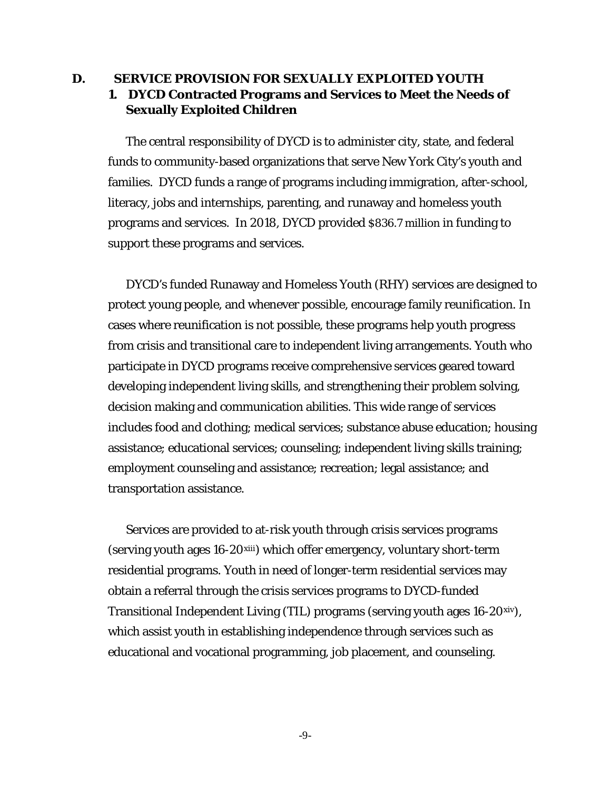# **D. SERVICE PROVISION FOR SEXUALLY EXPLOITED YOUTH 1. DYCD Contracted Programs and Services to Meet the Needs of Sexually Exploited Children**

The central responsibility of DYCD is to administer city, state, and federal funds to community-based organizations that serve New York City's youth and families. DYCD funds a range of programs including immigration, after-school, literacy, jobs and internships, parenting, and runaway and homeless youth programs and services. In 2018, DYCD provided \$836.7 million in funding to support these programs and services.

DYCD's funded Runaway and Homeless Youth (RHY) services are designed to protect young people, and whenever possible, encourage family reunification. In cases where reunification is not possible, these programs help youth progress from crisis and transitional care to independent living arrangements. Youth who participate in DYCD programs receive comprehensive services geared toward developing independent living skills, and strengthening their problem solving, decision making and communication abilities. This wide range of services includes food and clothing; medical services; substance abuse education; housing assistance; educational services; counseling; independent living skills training; employment counseling and assistance; recreation; legal assistance; and transportation assistance.

Services are provided to at-risk youth through crisis services programs (serving youth ages 16-20[xiii\)](#page-30-7) which offer emergency, voluntary short-term residential programs. Youth in need of longer-term residential services may obtain a referral through the crisis services programs to DYCD-funded Transitional Independent Living (TIL) programs (serving youth ages  $16\text{-}20xiv$  $16\text{-}20xiv$ ), which assist youth in establishing independence through services such as educational and vocational programming, job placement, and counseling.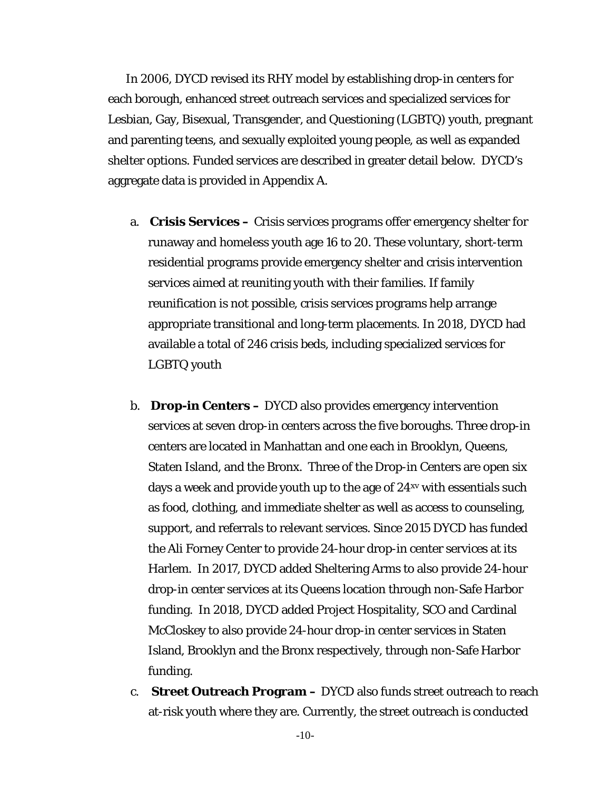In 2006, DYCD revised its RHY model by establishing drop-in centers for each borough, enhanced street outreach services and specialized services for Lesbian, Gay, Bisexual, Transgender, and Questioning (LGBTQ) youth, pregnant and parenting teens, and sexually exploited young people, as well as expanded shelter options. Funded services are described in greater detail below. DYCD's aggregate data is provided in Appendix A.

- a. **Crisis Services –** Crisis services programs offer emergency shelter for runaway and homeless youth age 16 to 20. These voluntary, short-term residential programs provide emergency shelter and crisis intervention services aimed at reuniting youth with their families. If family reunification is not possible, crisis services programs help arrange appropriate transitional and long-term placements. In 2018, DYCD had available a total of 246 crisis beds, including specialized services for LGBTQ youth
- b. **Drop-in Centers –** DYCD also provides emergency intervention services at seven drop-in centers across the five boroughs. Three drop-in centers are located in Manhattan and one each in Brooklyn, Queens, Staten Island, and the Bronx. Three of the Drop-in Centers are open six days a week and provide youth up to the age of  $24^{xy}$  with essentials such as food, clothing, and immediate shelter as well as access to counseling, support, and referrals to relevant services. Since 2015 DYCD has funded the Ali Forney Center to provide 24-hour drop-in center services at its Harlem. In 2017, DYCD added Sheltering Arms to also provide 24-hour drop-in center services at its Queens location through non-Safe Harbor funding. In 2018, DYCD added Project Hospitality, SCO and Cardinal McCloskey to also provide 24-hour drop-in center services in Staten Island, Brooklyn and the Bronx respectively, through non-Safe Harbor funding.
- c. **Street Outreach Program –** DYCD also funds street outreach to reach at-risk youth where they are. Currently, the street outreach is conducted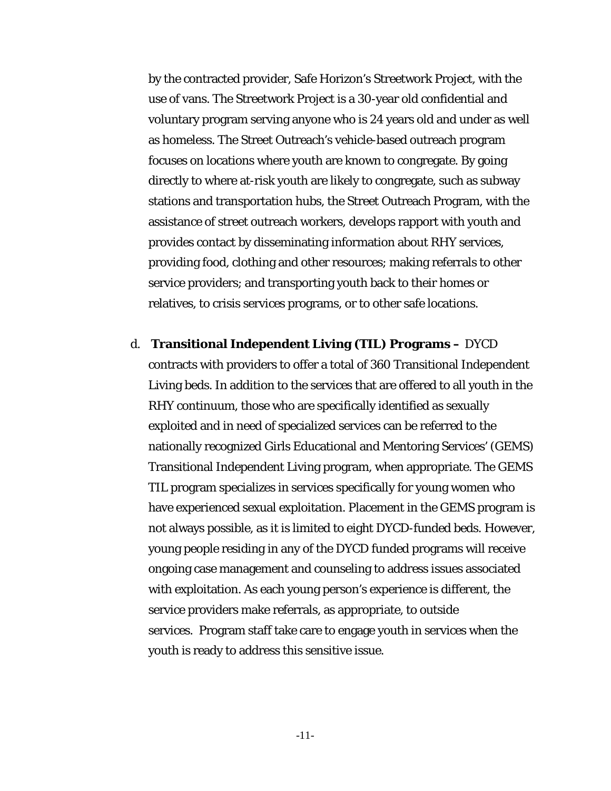by the contracted provider, Safe Horizon's Streetwork Project, with the use of vans. The Streetwork Project is a 30-year old confidential and voluntary program serving anyone who is 24 years old and under as well as homeless. The Street Outreach's vehicle-based outreach program focuses on locations where youth are known to congregate. By going directly to where at-risk youth are likely to congregate, such as subway stations and transportation hubs, the Street Outreach Program, with the assistance of street outreach workers, develops rapport with youth and provides contact by disseminating information about RHY services, providing food, clothing and other resources; making referrals to other service providers; and transporting youth back to their homes or relatives, to crisis services programs, or to other safe locations.

d. **Transitional Independent Living (TIL) Programs –** DYCD contracts with providers to offer a total of 360 Transitional Independent Living beds. In addition to the services that are offered to all youth in the RHY continuum, those who are specifically identified as sexually exploited and in need of specialized services can be referred to the nationally recognized Girls Educational and Mentoring Services' (GEMS) Transitional Independent Living program, when appropriate. The GEMS TIL program specializes in services specifically for young women who have experienced sexual exploitation. Placement in the GEMS program is not always possible, as it is limited to eight DYCD-funded beds. However, young people residing in any of the DYCD funded programs will receive ongoing case management and counseling to address issues associated with exploitation. As each young person's experience is different, the service providers make referrals, as appropriate, to outside services. Program staff take care to engage youth in services when the youth is ready to address this sensitive issue.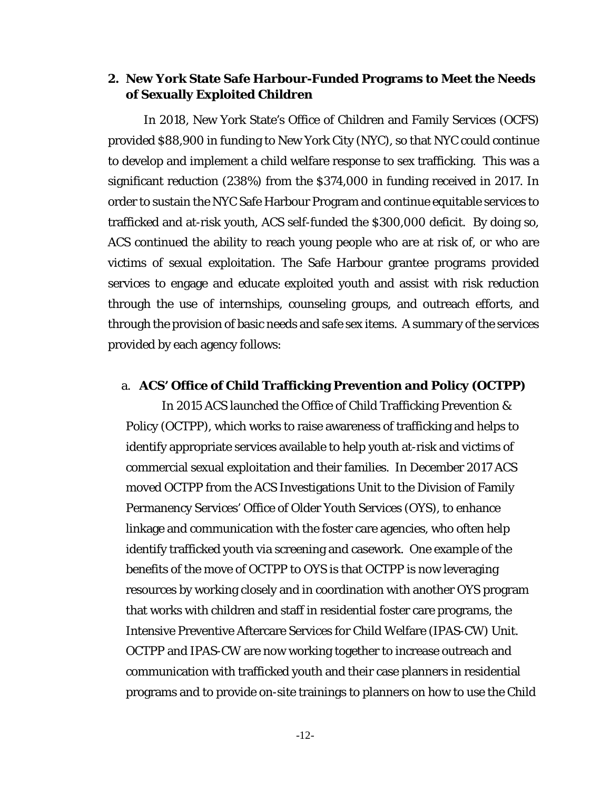# **2. New York State Safe Harbour-Funded Programs to Meet the Needs of Sexually Exploited Children**

In 2018, New York State's Office of Children and Family Services (OCFS) provided \$88,900 in funding to New York City (NYC), so that NYC could continue to develop and implement a child welfare response to sex trafficking. This was a significant reduction (238%) from the \$374,000 in funding received in 2017. In order to sustain the NYC Safe Harbour Program and continue equitable services to trafficked and at-risk youth, ACS self-funded the \$300,000 deficit. By doing so, ACS continued the ability to reach young people who are at risk of, or who are victims of sexual exploitation. The Safe Harbour grantee programs provided services to engage and educate exploited youth and assist with risk reduction through the use of internships, counseling groups, and outreach efforts, and through the provision of basic needs and safe sex items. A summary of the services provided by each agency follows:

#### a. **ACS' Office of Child Trafficking Prevention and Policy (OCTPP)**

In 2015 ACS launched the Office of Child Trafficking Prevention & Policy (OCTPP), which works to raise awareness of trafficking and helps to identify appropriate services available to help youth at-risk and victims of commercial sexual exploitation and their families. In December 2017 ACS moved OCTPP from the ACS Investigations Unit to the Division of Family Permanency Services' Office of Older Youth Services (OYS), to enhance linkage and communication with the foster care agencies, who often help identify trafficked youth via screening and casework. One example of the benefits of the move of OCTPP to OYS is that OCTPP is now leveraging resources by working closely and in coordination with another OYS program that works with children and staff in residential foster care programs, the Intensive Preventive Aftercare Services for Child Welfare (IPAS-CW) Unit. OCTPP and IPAS-CW are now working together to increase outreach and communication with trafficked youth and their case planners in residential programs and to provide on-site trainings to planners on how to use the Child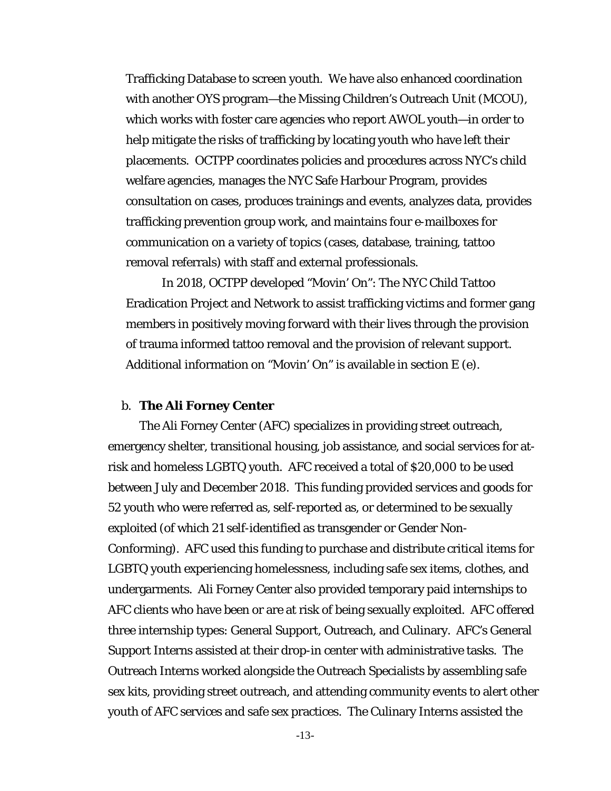Trafficking Database to screen youth. We have also enhanced coordination with another OYS program—the Missing Children's Outreach Unit (MCOU), which works with foster care agencies who report AWOL youth—in order to help mitigate the risks of trafficking by locating youth who have left their placements. OCTPP coordinates policies and procedures across NYC's child welfare agencies, manages the NYC Safe Harbour Program, provides consultation on cases, produces trainings and events, analyzes data, provides trafficking prevention group work, and maintains four e-mailboxes for communication on a variety of topics (cases, database, training, tattoo removal referrals) with staff and external professionals.

In 2018, OCTPP developed "Movin' On": The NYC Child Tattoo Eradication Project and Network to assist trafficking victims and former gang members in positively moving forward with their lives through the provision of trauma informed tattoo removal and the provision of relevant support. Additional information on "Movin' On" is available in section E (e).

#### b. **The Ali Forney Center**

The Ali Forney Center (AFC) specializes in providing street outreach, emergency shelter, transitional housing, job assistance, and social services for atrisk and homeless LGBTQ youth. AFC received a total of \$20,000 to be used between July and December 2018. This funding provided services and goods for 52 youth who were referred as, self-reported as, or determined to be sexually exploited (of which 21 self-identified as transgender or Gender Non-Conforming). AFC used this funding to purchase and distribute critical items for LGBTQ youth experiencing homelessness, including safe sex items, clothes, and undergarments. Ali Forney Center also provided temporary paid internships to AFC clients who have been or are at risk of being sexually exploited. AFC offered three internship types: General Support, Outreach, and Culinary. AFC's General Support Interns assisted at their drop-in center with administrative tasks. The Outreach Interns worked alongside the Outreach Specialists by assembling safe sex kits, providing street outreach, and attending community events to alert other youth of AFC services and safe sex practices. The Culinary Interns assisted the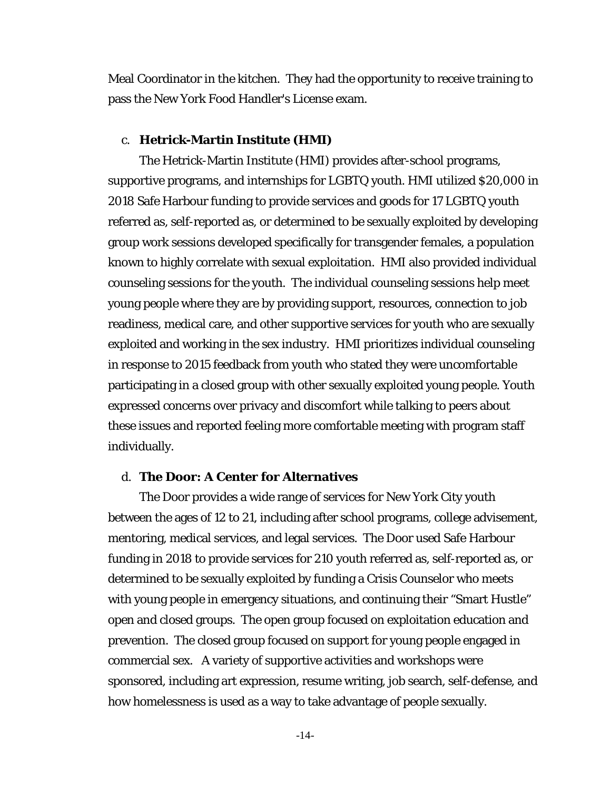Meal Coordinator in the kitchen. They had the opportunity to receive training to pass the New York Food Handler's License exam.

#### c. **Hetrick-Martin Institute (HMI)**

The Hetrick-Martin Institute (HMI) provides after-school programs, supportive programs, and internships for LGBTQ youth. HMI utilized \$20,000 in 2018 Safe Harbour funding to provide services and goods for 17 LGBTQ youth referred as, self-reported as, or determined to be sexually exploited by developing group work sessions developed specifically for transgender females, a population known to highly correlate with sexual exploitation. HMI also provided individual counseling sessions for the youth. The individual counseling sessions help meet young people where they are by providing support, resources, connection to job readiness, medical care, and other supportive services for youth who are sexually exploited and working in the sex industry. HMI prioritizes individual counseling in response to 2015 feedback from youth who stated they were uncomfortable participating in a closed group with other sexually exploited young people. Youth expressed concerns over privacy and discomfort while talking to peers about these issues and reported feeling more comfortable meeting with program staff individually.

#### d. **The Door: A Center for Alternatives**

The Door provides a wide range of services for New York City youth between the ages of 12 to 21, including after school programs, college advisement, mentoring, medical services, and legal services. The Door used Safe Harbour funding in 2018 to provide services for 210 youth referred as, self-reported as, or determined to be sexually exploited by funding a Crisis Counselor who meets with young people in emergency situations, and continuing their "Smart Hustle" open and closed groups. The open group focused on exploitation education and prevention. The closed group focused on support for young people engaged in commercial sex. A variety of supportive activities and workshops were sponsored, including art expression, resume writing, job search, self-defense, and how homelessness is used as a way to take advantage of people sexually.

-14-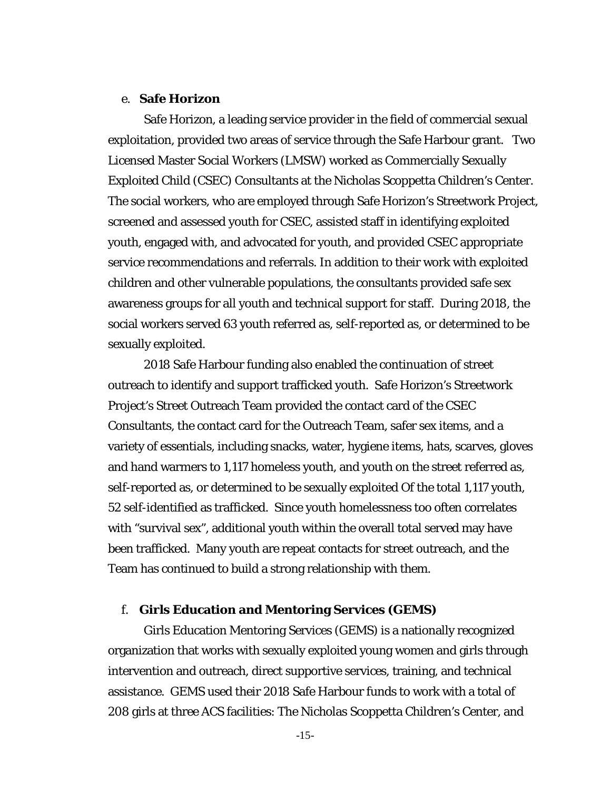#### e. **Safe Horizon**

Safe Horizon, a leading service provider in the field of commercial sexual exploitation, provided two areas of service through the Safe Harbour grant. Two Licensed Master Social Workers (LMSW) worked as Commercially Sexually Exploited Child (CSEC) Consultants at the Nicholas Scoppetta Children's Center. The social workers, who are employed through Safe Horizon's Streetwork Project, screened and assessed youth for CSEC, assisted staff in identifying exploited youth, engaged with, and advocated for youth, and provided CSEC appropriate service recommendations and referrals. In addition to their work with exploited children and other vulnerable populations, the consultants provided safe sex awareness groups for all youth and technical support for staff. During 2018, the social workers served 63 youth referred as, self-reported as, or determined to be sexually exploited.

2018 Safe Harbour funding also enabled the continuation of street outreach to identify and support trafficked youth. Safe Horizon's Streetwork Project's Street Outreach Team provided the contact card of the CSEC Consultants, the contact card for the Outreach Team, safer sex items, and a variety of essentials, including snacks, water, hygiene items, hats, scarves, gloves and hand warmers to 1,117 homeless youth, and youth on the street referred as, self-reported as, or determined to be sexually exploited Of the total 1,117 youth, 52 self-identified as trafficked. Since youth homelessness too often correlates with "survival sex", additional youth within the overall total served may have been trafficked. Many youth are repeat contacts for street outreach, and the Team has continued to build a strong relationship with them.

#### f. **Girls Education and Mentoring Services (GEMS)**

Girls Education Mentoring Services (GEMS) is a nationally recognized organization that works with sexually exploited young women and girls through intervention and outreach, direct supportive services, training, and technical assistance. GEMS used their 2018 Safe Harbour funds to work with a total of 208 girls at three ACS facilities: The Nicholas Scoppetta Children's Center, and

-15-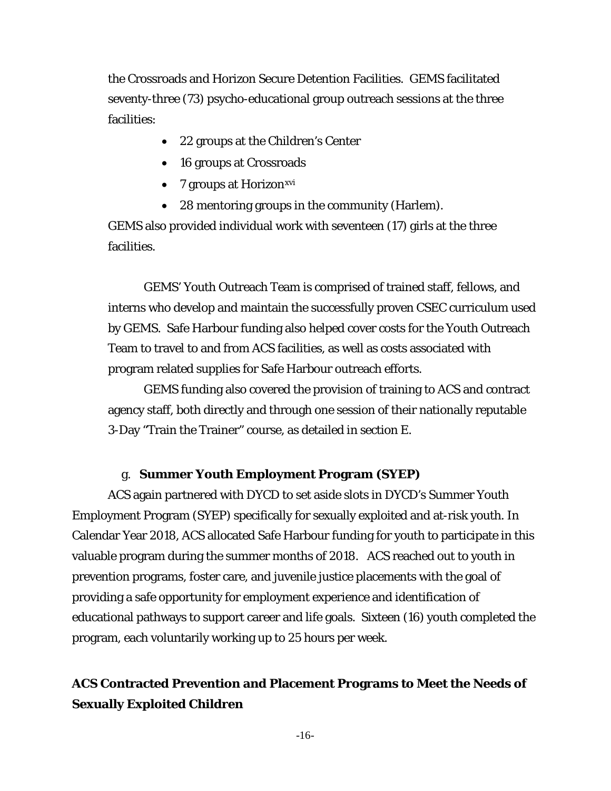the Crossroads and Horizon Secure Detention Facilities. GEMS facilitated seventy-three (73) psycho-educational group outreach sessions at the three facilities:

- 22 groups at the Children's Center
- 16 groups at Crossroads
- 7 groups at Horizon<sup>[xvi](#page-30-10)</sup>
- 28 mentoring groups in the community (Harlem).

GEMS also provided individual work with seventeen (17) girls at the three facilities.

GEMS' Youth Outreach Team is comprised of trained staff, fellows, and interns who develop and maintain the successfully proven CSEC curriculum used by GEMS. Safe Harbour funding also helped cover costs for the Youth Outreach Team to travel to and from ACS facilities, as well as costs associated with program related supplies for Safe Harbour outreach efforts.

GEMS funding also covered the provision of training to ACS and contract agency staff, both directly and through one session of their nationally reputable 3-Day "Train the Trainer" course, as detailed in section E.

#### g. **Summer Youth Employment Program (SYEP)**

ACS again partnered with DYCD to set aside slots in DYCD's Summer Youth Employment Program (SYEP) specifically for sexually exploited and at-risk youth. In Calendar Year 2018, ACS allocated Safe Harbour funding for youth to participate in this valuable program during the summer months of 2018. ACS reached out to youth in prevention programs, foster care, and juvenile justice placements with the goal of providing a safe opportunity for employment experience and identification of educational pathways to support career and life goals. Sixteen (16) youth completed the program, each voluntarily working up to 25 hours per week.

# **ACS Contracted Prevention and Placement Programs to Meet the Needs of Sexually Exploited Children**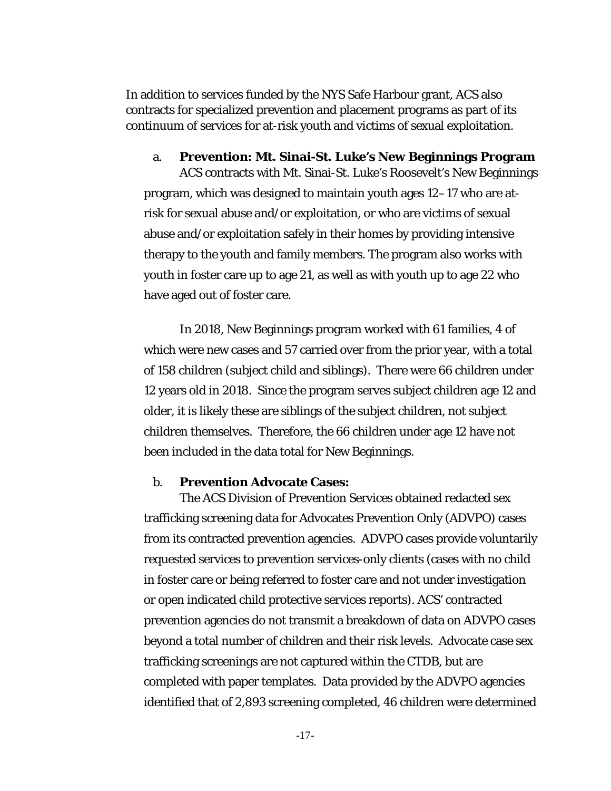In addition to services funded by the NYS Safe Harbour grant, ACS also contracts for specialized prevention and placement programs as part of its continuum of services for at-risk youth and victims of sexual exploitation.

### a. **Prevention: Mt. Sinai-St. Luke's New Beginnings Program**

ACS contracts with Mt. Sinai-St. Luke's Roosevelt's New Beginnings program, which was designed to maintain youth ages 12–17 who are atrisk for sexual abuse and/or exploitation, or who are victims of sexual abuse and/or exploitation safely in their homes by providing intensive therapy to the youth and family members. The program also works with youth in foster care up to age 21, as well as with youth up to age 22 who have aged out of foster care.

In 2018, New Beginnings program worked with 61 families, 4 of which were new cases and 57 carried over from the prior year, with a total of 158 children (subject child and siblings). There were 66 children under 12 years old in 2018. Since the program serves subject children age 12 and older, it is likely these are siblings of the subject children, not subject children themselves. Therefore, the 66 children under age 12 have not been included in the data total for New Beginnings.

#### b. **Prevention Advocate Cases:**

The ACS Division of Prevention Services obtained redacted sex trafficking screening data for Advocates Prevention Only (ADVPO) cases from its contracted prevention agencies. ADVPO cases provide voluntarily requested services to prevention services-only clients (cases with no child in foster care or being referred to foster care and not under investigation or open indicated child protective services reports). ACS' contracted prevention agencies do not transmit a breakdown of data on ADVPO cases beyond a total number of children and their risk levels. Advocate case sex trafficking screenings are not captured within the CTDB, but are completed with paper templates. Data provided by the ADVPO agencies identified that of 2,893 screening completed, 46 children were determined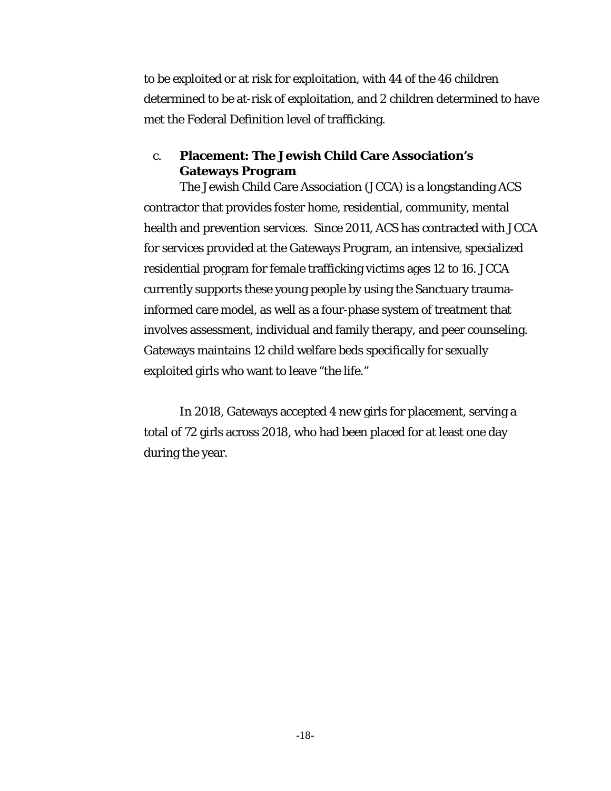to be exploited or at risk for exploitation, with 44 of the 46 children determined to be at-risk of exploitation, and 2 children determined to have met the Federal Definition level of trafficking.

# c. **Placement: The Jewish Child Care Association's Gateways Program**

The Jewish Child Care Association (JCCA) is a longstanding ACS contractor that provides foster home, residential, community, mental health and prevention services. Since 2011, ACS has contracted with JCCA for services provided at the Gateways Program, an intensive, specialized residential program for female trafficking victims ages 12 to 16. JCCA currently supports these young people by using the Sanctuary traumainformed care model, as well as a four-phase system of treatment that involves assessment, individual and family therapy, and peer counseling. Gateways maintains 12 child welfare beds specifically for sexually exploited girls who want to leave "the life."

In 2018, Gateways accepted 4 new girls for placement, serving a total of 72 girls across 2018, who had been placed for at least one day during the year.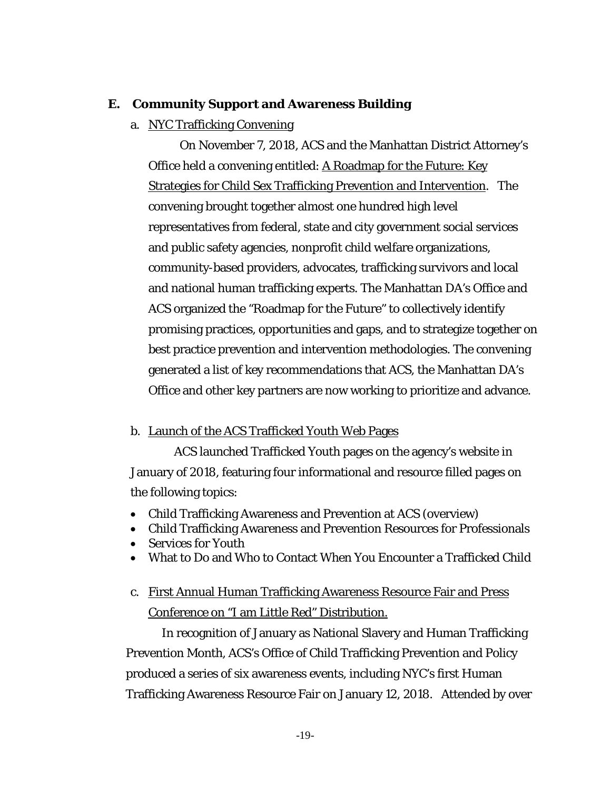## **E. Community Support and Awareness Building**

a. NYC Trafficking Convening

On November 7, 2018, ACS and the Manhattan District Attorney's Office held a convening entitled: A Roadmap for the Future: Key Strategies for Child Sex Trafficking Prevention and Intervention. The convening brought together almost one hundred high level representatives from federal, state and city government social services and public safety agencies, nonprofit child welfare organizations, community-based providers, advocates, trafficking survivors and local and national human trafficking experts. The Manhattan DA's Office and ACS organized the "Roadmap for the Future" to collectively identify promising practices, opportunities and gaps, and to strategize together on best practice prevention and intervention methodologies. The convening generated a list of key recommendations that ACS, the Manhattan DA's Office and other key partners are now working to prioritize and advance.

# b. Launch of the ACS Trafficked Youth Web Pages

 ACS launched Trafficked Youth pages on the agency's website in January of 2018, featuring four informational and resource filled pages on the following topics:

- Child Trafficking Awareness and Prevention at ACS (overview)
- Child Trafficking Awareness and Prevention Resources for Professionals
- Services for Youth
- What to Do and Who to Contact When You Encounter a Trafficked Child
- c. First Annual Human Trafficking Awareness Resource Fair and Press Conference on "I am Little Red" Distribution.

In recognition of January as National Slavery and Human Trafficking Prevention Month, ACS's Office of Child Trafficking Prevention and Policy produced a series of six awareness events, including NYC's first Human Trafficking Awareness Resource Fair on January 12, 2018. Attended by over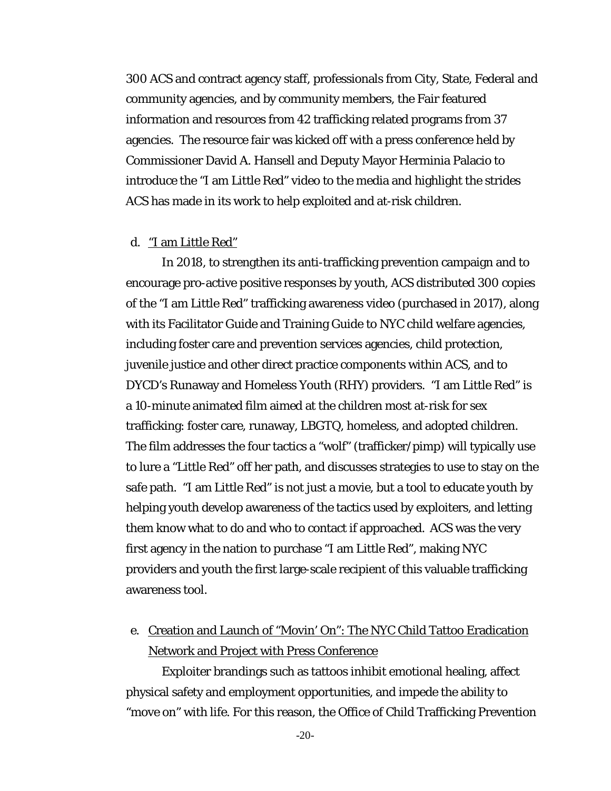300 ACS and contract agency staff, professionals from City, State, Federal and community agencies, and by community members, the Fair featured information and resources from 42 trafficking related programs from 37 agencies. The resource fair was kicked off with a press conference held by Commissioner David A. Hansell and Deputy Mayor Herminia Palacio to introduce the "I am Little Red" video to the media and highlight the strides ACS has made in its work to help exploited and at-risk children.

#### d. "I am Little Red"

In 2018, to strengthen its anti-trafficking prevention campaign and to encourage pro-active positive responses by youth, ACS distributed 300 copies of the "I am Little Red" trafficking awareness video (purchased in 2017), along with its Facilitator Guide and Training Guide to NYC child welfare agencies, including foster care and prevention services agencies, child protection, juvenile justice and other direct practice components within ACS, and to DYCD's Runaway and Homeless Youth (RHY) providers. "I am Little Red" is a 10-minute animated film aimed at the children most at-risk for sex trafficking: foster care, runaway, LBGTQ, homeless, and adopted children. The film addresses the four tactics a "wolf" (trafficker/pimp) will typically use to lure a "Little Red" off her path, and discusses strategies to use to stay on the safe path. "I am Little Red" is not just a movie, but a tool to educate youth by helping youth develop awareness of the tactics used by exploiters, and letting them know what to do and who to contact if approached. ACS was the very first agency in the nation to purchase "I am Little Red", making NYC providers and youth the first large-scale recipient of this valuable trafficking awareness tool.

e. Creation and Launch of "Movin' On": The NYC Child Tattoo Eradication Network and Project with Press Conference

Exploiter brandings such as tattoos inhibit emotional healing, affect physical safety and employment opportunities, and impede the ability to "move on" with life. For this reason, the Office of Child Trafficking Prevention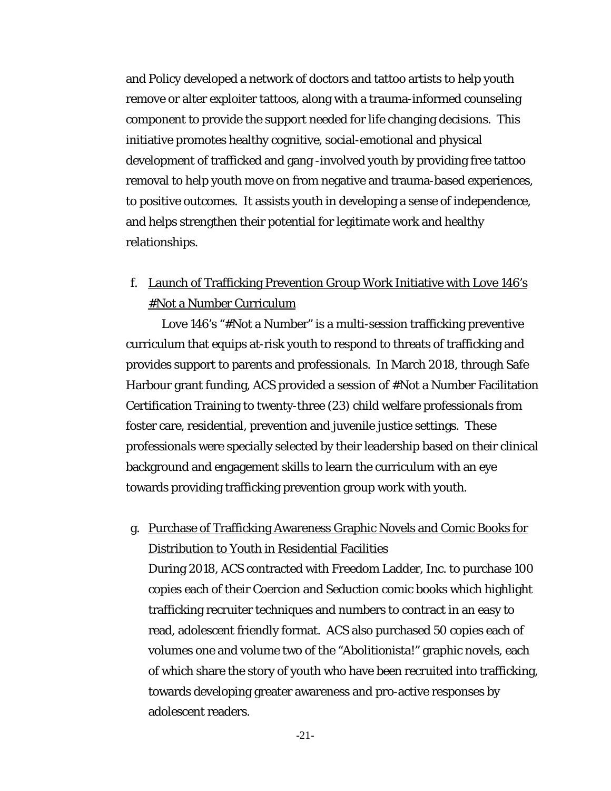and Policy developed a network of doctors and tattoo artists to help youth remove or alter exploiter tattoos, along with a trauma-informed counseling component to provide the support needed for life changing decisions. This initiative promotes healthy cognitive, social-emotional and physical development of trafficked and gang -involved youth by providing free tattoo removal to help youth move on from negative and trauma-based experiences, to positive outcomes. It assists youth in developing a sense of independence, and helps strengthen their potential for legitimate work and healthy relationships.

# f. Launch of Trafficking Prevention Group Work Initiative with Love 146's #Not a Number Curriculum

Love 146's "#Not a Number" is a multi-session trafficking preventive curriculum that equips at-risk youth to respond to threats of trafficking and provides support to parents and professionals. In March 2018, through Safe Harbour grant funding, ACS provided a session of #Not a Number Facilitation Certification Training to twenty-three (23) child welfare professionals from foster care, residential, prevention and juvenile justice settings. These professionals were specially selected by their leadership based on their clinical background and engagement skills to learn the curriculum with an eye towards providing trafficking prevention group work with youth.

# g. Purchase of Trafficking Awareness Graphic Novels and Comic Books for Distribution to Youth in Residential Facilities

During 2018, ACS contracted with Freedom Ladder, Inc. to purchase 100 copies each of their Coercion and Seduction comic books which highlight trafficking recruiter techniques and numbers to contract in an easy to read, adolescent friendly format. ACS also purchased 50 copies each of volumes one and volume two of the "Abolitionista!" graphic novels, each of which share the story of youth who have been recruited into trafficking, towards developing greater awareness and pro-active responses by adolescent readers.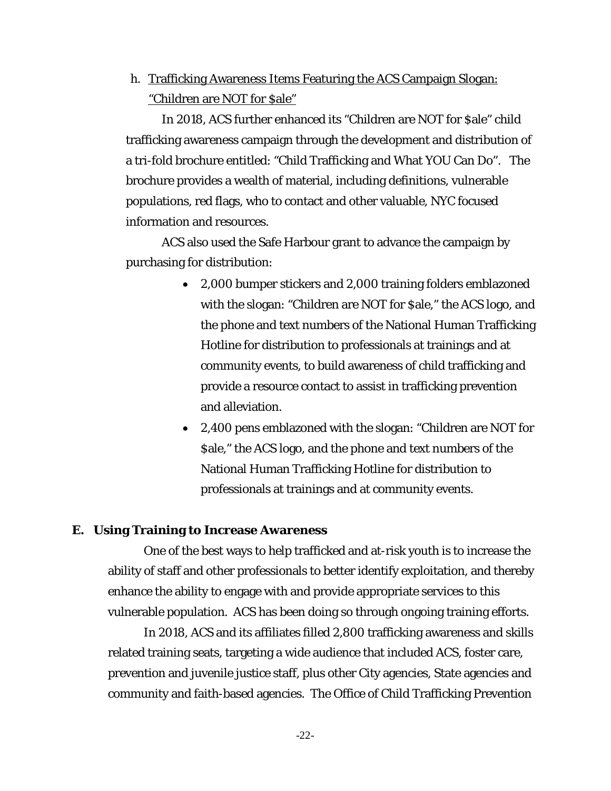h. Trafficking Awareness Items Featuring the ACS Campaign Slogan: "Children are NOT for \$ale"

In 2018, ACS further enhanced its "Children are NOT for \$ale" child trafficking awareness campaign through the development and distribution of a tri-fold brochure entitled: "Child Trafficking and What YOU Can Do". The brochure provides a wealth of material, including definitions, vulnerable populations, red flags, who to contact and other valuable, NYC focused information and resources.

ACS also used the Safe Harbour grant to advance the campaign by purchasing for distribution:

- 2,000 bumper stickers and 2,000 training folders emblazoned with the slogan: "Children are NOT for \$ale," the ACS logo, and the phone and text numbers of the National Human Trafficking Hotline for distribution to professionals at trainings and at community events, to build awareness of child trafficking and provide a resource contact to assist in trafficking prevention and alleviation.
- 2,400 pens emblazoned with the slogan: "Children are NOT for \$ale," the ACS logo, and the phone and text numbers of the National Human Trafficking Hotline for distribution to professionals at trainings and at community events.

#### **E. Using Training to Increase Awareness**

One of the best ways to help trafficked and at-risk youth is to increase the ability of staff and other professionals to better identify exploitation, and thereby enhance the ability to engage with and provide appropriate services to this vulnerable population. ACS has been doing so through ongoing training efforts.

In 2018, ACS and its affiliates filled 2,800 trafficking awareness and skills related training seats, targeting a wide audience that included ACS, foster care, prevention and juvenile justice staff, plus other City agencies, State agencies and community and faith-based agencies. The Office of Child Trafficking Prevention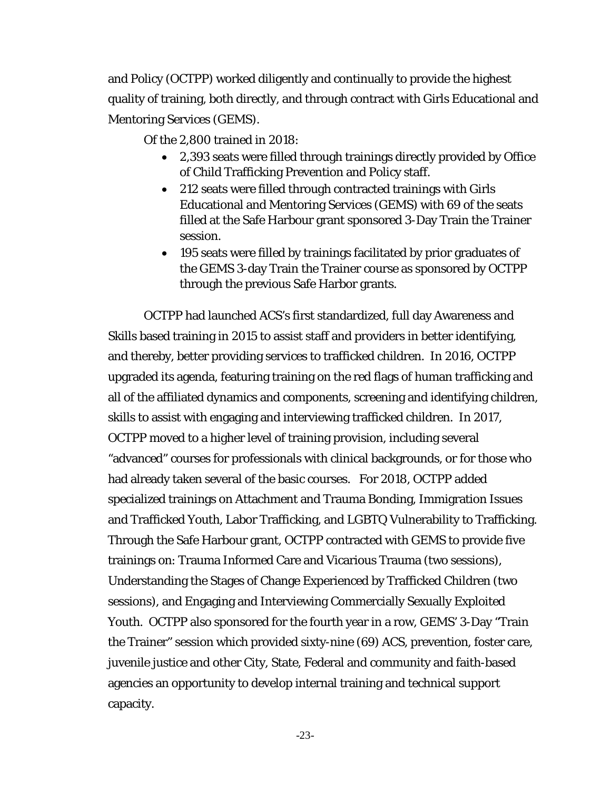and Policy (OCTPP) worked diligently and continually to provide the highest quality of training, both directly, and through contract with Girls Educational and Mentoring Services (GEMS).

Of the 2,800 trained in 2018:

- 2,393 seats were filled through trainings directly provided by Office of Child Trafficking Prevention and Policy staff.
- 212 seats were filled through contracted trainings with Girls Educational and Mentoring Services (GEMS) with 69 of the seats filled at the Safe Harbour grant sponsored 3-Day Train the Trainer session.
- 195 seats were filled by trainings facilitated by prior graduates of the GEMS 3-day Train the Trainer course as sponsored by OCTPP through the previous Safe Harbor grants.

OCTPP had launched ACS's first standardized, full day Awareness and Skills based training in 2015 to assist staff and providers in better identifying, and thereby, better providing services to trafficked children. In 2016, OCTPP upgraded its agenda, featuring training on the red flags of human trafficking and all of the affiliated dynamics and components, screening and identifying children, skills to assist with engaging and interviewing trafficked children. In 2017, OCTPP moved to a higher level of training provision, including several "advanced" courses for professionals with clinical backgrounds, or for those who had already taken several of the basic courses. For 2018, OCTPP added specialized trainings on Attachment and Trauma Bonding, Immigration Issues and Trafficked Youth, Labor Trafficking, and LGBTQ Vulnerability to Trafficking. Through the Safe Harbour grant, OCTPP contracted with GEMS to provide five trainings on: Trauma Informed Care and Vicarious Trauma (two sessions), Understanding the Stages of Change Experienced by Trafficked Children (two sessions), and Engaging and Interviewing Commercially Sexually Exploited Youth. OCTPP also sponsored for the fourth year in a row, GEMS' 3-Day "Train the Trainer" session which provided sixty-nine (69) ACS, prevention, foster care, juvenile justice and other City, State, Federal and community and faith-based agencies an opportunity to develop internal training and technical support capacity.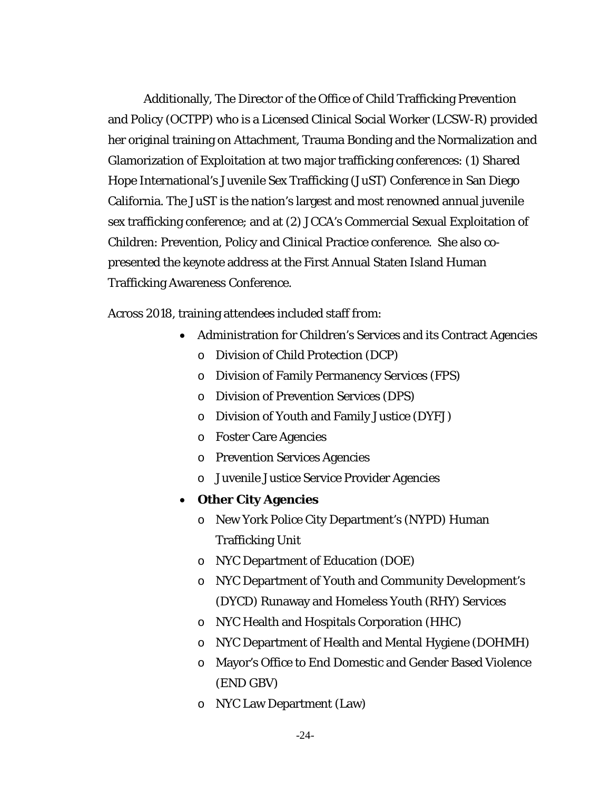Additionally, The Director of the Office of Child Trafficking Prevention and Policy (OCTPP) who is a Licensed Clinical Social Worker (LCSW-R) provided her original training on Attachment, Trauma Bonding and the Normalization and Glamorization of Exploitation at two major trafficking conferences: (1) Shared Hope International's Juvenile Sex Trafficking (JuST) Conference in San Diego California. The JuST is the nation's largest and most renowned annual juvenile sex trafficking conference; and at (2) JCCA's Commercial Sexual Exploitation of Children: Prevention, Policy and Clinical Practice conference. She also copresented the keynote address at the First Annual Staten Island Human Trafficking Awareness Conference.

Across 2018, training attendees included staff from:

- Administration for Children's Services and its Contract Agencies
	- o Division of Child Protection (DCP)
	- o Division of Family Permanency Services (FPS)
	- o Division of Prevention Services (DPS)
	- o Division of Youth and Family Justice (DYFJ)
	- o Foster Care Agencies
	- o Prevention Services Agencies
	- o Juvenile Justice Service Provider Agencies
- **Other City Agencies**
	- o New York Police City Department's (NYPD) Human Trafficking Unit
	- o NYC Department of Education (DOE)
	- o NYC Department of Youth and Community Development's (DYCD) Runaway and Homeless Youth (RHY) Services
	- o NYC Health and Hospitals Corporation (HHC)
	- o NYC Department of Health and Mental Hygiene (DOHMH)
	- o Mayor's Office to End Domestic and Gender Based Violence (END GBV)
	- o NYC Law Department (Law)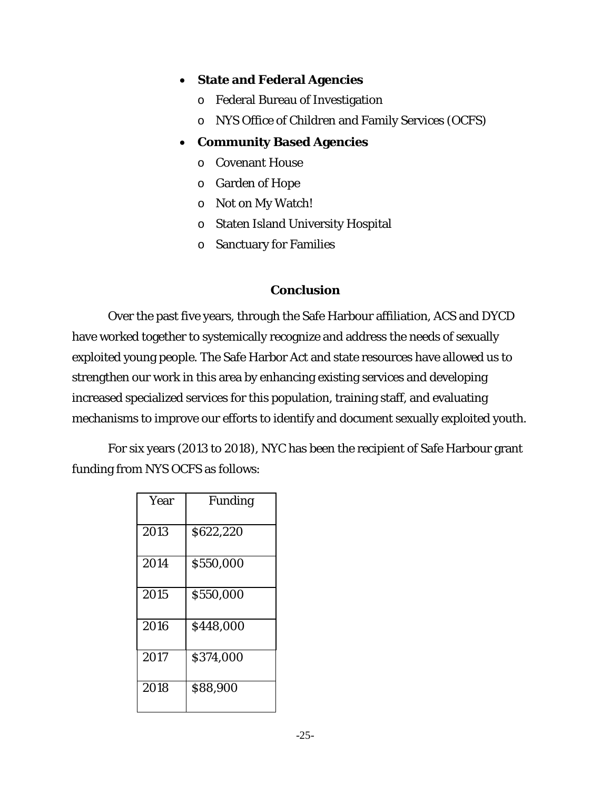### • **State and Federal Agencies**

- o Federal Bureau of Investigation
- o NYS Office of Children and Family Services (OCFS)
- **Community Based Agencies**
	- o Covenant House
	- o Garden of Hope
	- o Not on My Watch!
	- o Staten Island University Hospital
	- o Sanctuary for Families

#### **Conclusion**

Over the past five years, through the Safe Harbour affiliation, ACS and DYCD have worked together to systemically recognize and address the needs of sexually exploited young people. The Safe Harbor Act and state resources have allowed us to strengthen our work in this area by enhancing existing services and developing increased specialized services for this population, training staff, and evaluating mechanisms to improve our efforts to identify and document sexually exploited youth.

For six years (2013 to 2018), NYC has been the recipient of Safe Harbour grant funding from NYS OCFS as follows:

| Year | Funding   |
|------|-----------|
| 2013 | \$622,220 |
| 2014 | \$550,000 |
| 2015 | \$550,000 |
| 2016 | \$448,000 |
| 2017 | \$374,000 |
| 2018 | \$88,900  |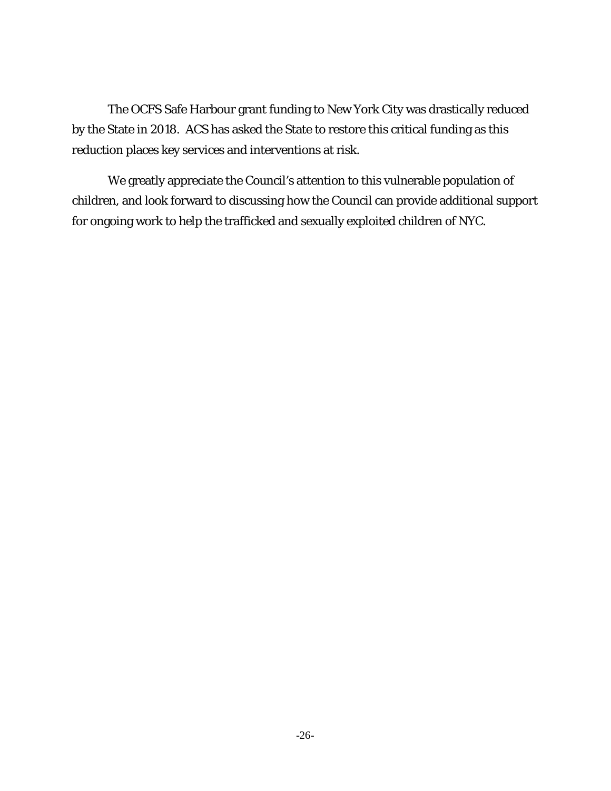The OCFS Safe Harbour grant funding to New York City was drastically reduced by the State in 2018. ACS has asked the State to restore this critical funding as this reduction places key services and interventions at risk.

We greatly appreciate the Council's attention to this vulnerable population of children, and look forward to discussing how the Council can provide additional support for ongoing work to help the trafficked and sexually exploited children of NYC.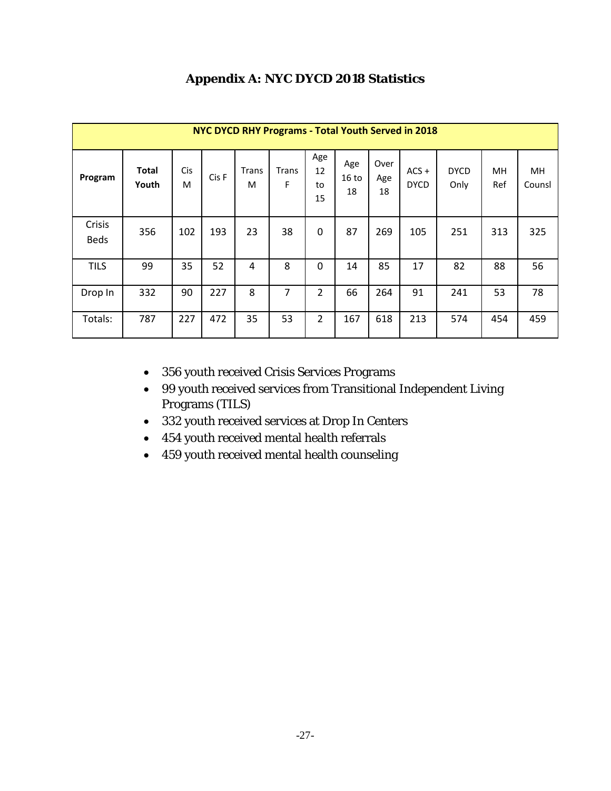| NYC DYCD RHY Programs - Total Youth Served in 2018 |                       |          |       |                   |                   |                       |                               |                   |                        |                     |           |              |  |  |
|----------------------------------------------------|-----------------------|----------|-------|-------------------|-------------------|-----------------------|-------------------------------|-------------------|------------------------|---------------------|-----------|--------------|--|--|
| Program                                            | <b>Total</b><br>Youth | Cis<br>M | Cis F | <b>Trans</b><br>M | <b>Trans</b><br>F | Age<br>12<br>to<br>15 | Age<br>16 <sub>to</sub><br>18 | Over<br>Age<br>18 | $ACS +$<br><b>DYCD</b> | <b>DYCD</b><br>Only | MH<br>Ref | MH<br>Counsl |  |  |
| Crisis<br><b>Beds</b>                              | 356                   | 102      | 193   | 23                | 38                | 0                     | 87                            | 269               | 105                    | 251                 | 313       | 325          |  |  |
| <b>TILS</b>                                        | 99                    | 35       | 52    | 4                 | 8                 | $\mathbf{0}$          | 14                            | 85                | 17                     | 82                  | 88        | 56           |  |  |
| Drop In                                            | 332                   | 90       | 227   | 8                 | 7                 | $\overline{2}$        | 66                            | 264               | 91                     | 241                 | 53        | 78           |  |  |
| Totals:                                            | 787                   | 227      | 472   | 35                | 53                | 2                     | 167                           | 618               | 213                    | 574                 | 454       | 459          |  |  |

# **Appendix A: NYC DYCD 2018 Statistics**

- 356 youth received Crisis Services Programs
- 99 youth received services from Transitional Independent Living Programs (TILS)
- 332 youth received services at Drop In Centers
- 454 youth received mental health referrals
- 459 youth received mental health counseling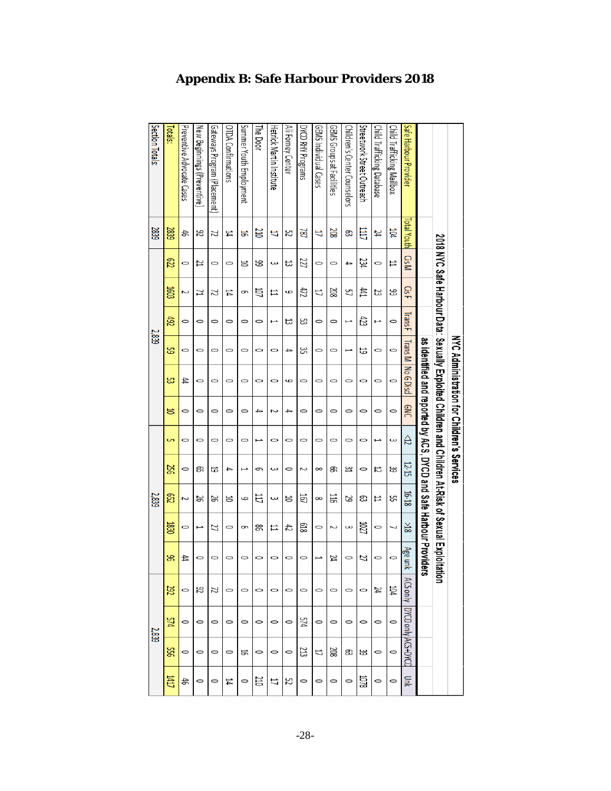| Section Totals: | <b>Totals:</b> | Preventive Advocate Cases | New Beginnings (Preventive | Gateways Program (Placement) | OTDA Confirmations | Summer Youth Employment | The Door  | Hetrick Martin Institute | Ali Forney Center | DYCD RHY Programs | GEMS Individual Cases | GEMS Groups at Facilities | Center Counselors ( | Street/Street Outreach | Child Trafficking Database | Child Trafficking Mailbox | Safe Harbour Provider        |                                                                  |                                                                                              |                                            |
|-----------------|----------------|---------------------------|----------------------------|------------------------------|--------------------|-------------------------|-----------|--------------------------|-------------------|-------------------|-----------------------|---------------------------|---------------------|------------------------|----------------------------|---------------------------|------------------------------|------------------------------------------------------------------|----------------------------------------------------------------------------------------------|--------------------------------------------|
| 2839            | 2839           | お                         | 92                         | Ч                            | 圢                  | 능                       | <b>DE</b> | IJ                       | S                 | 787               | IJ                    | 208                       | ස                   | ЩI                     | И                          | 岗                         | Total Youth                  |                                                                  |                                                                                              |                                            |
|                 | 79             | 0                         | 21                         | 0                            | 0                  | 능                       | 99        | س                        | ದ                 | 727               | 0                     | 0                         | 4                   | 734                    | 0                          | 11                        | <b>GsM</b>                   |                                                                  |                                                                                              |                                            |
|                 | 1603           |                           | 71                         | 27                           | ħŢ                 | 9                       | 匀         | H                        | ص                 | 472               | IJ                    | 208                       | 57                  | 铒                      | 23                         | ಜ                         | ឌ                            |                                                                  |                                                                                              |                                            |
|                 | 492            | 0                         | 0                          | 0                            | 0                  | 0                       | 0         | ⊷                        | ದ                 | ಜ                 | $\circ$               | $\circ$                   |                     | 423                    |                            | 0                         | TransF                       |                                                                  |                                                                                              |                                            |
| 2,839           | S,             | 0                         | 0                          | 0                            |                    | 0                       | 0         | 0                        | 4                 | ပ္ပ               | 0                     | 0                         |                     | 5                      | 0                          | 0                         |                              |                                                                  |                                                                                              |                                            |
|                 | ಜ              | ₫                         | $\circ$                    | 0                            | 0                  | 0                       | 0         | $\circ$                  | ص                 | 0                 | 0                     | 0                         | $\circ$             | 0                      | 0                          | $\circ$                   | Trans M   No G Discl         | as identified and reported by ACS, DYCD and Safe Harbour Provide | 2018 NYC Safe Harbour Data: Sexually Exploriate nand Children At-Risk of Sexual Exploitation | NYC Administration for Children's Services |
|                 | ă              | 0                         | 0                          | 0                            | 0                  | 0                       | 4         | Σ                        | 4                 | 0                 | 0                     | 0                         | 0                   | 0                      | 0                          | 0                         | <b>GNC</b>                   |                                                                  |                                                                                              |                                            |
|                 | cл             | 0                         | $\circ$                    | 0                            | 0                  | 0                       |           | 0                        | 0                 | 0                 | 0                     | 0                         | $\circ$             | 0                      |                            | س                         | ê                            |                                                                  |                                                                                              |                                            |
|                 | 25             | 0                         | ஜ                          | 눕                            | 4                  |                         | 9         | س                        |                   |                   | $\infty$              | ஐ                         | 险                   | 0                      | Π                          | జ                         | 12-15                        |                                                                  |                                                                                              |                                            |
| 2,839           | 85             |                           | 52                         | జ                            | 능                  | ص                       | 口         | س                        | 능                 | 50                | $\infty$              | 宗                         | B                   | ස                      | 出                          | SЗ                        | 16-18                        |                                                                  |                                                                                              |                                            |
|                 | 1830           | 0                         |                            | 27                           | 0                  | G                       | æ         | 11                       | 47                | 819               | $\circ$               | ىم                        | ω                   | 1027                   | 0                          |                           | 쓺                            |                                                                  |                                                                                              |                                            |
|                 | æ              | ₫                         | 0                          | 0                            | 0                  |                         | 0         | 0                        | 0                 | 0                 |                       | И                         | 0                   | 77                     | 0                          | 0                         | Age unk                      | ă                                                                |                                                                                              |                                            |
|                 | 292            | 0                         | 92                         | И                            | $\circ$            | $\circ$                 | $\circ$   | 0                        | 0                 | $\circ$           | $\circ$               | $\circ$                   | $\circ$             | $\circ$                | 忆                          | 104                       |                              |                                                                  | ig<br>S                                                                                      |                                            |
| 2,839           | 574            | 0                         | $\circ$                    | $\circ$                      | $\circ$            | 0                       | $\circ$   | $\circ$                  | 0                 | 574               | $\circ$               | $\circ$                   | $\circ$             | $\circ$                | $\circ$                    | $\circ$                   | ACS only IDYCD only ACS+DYCD |                                                                  |                                                                                              |                                            |
|                 | SS<br>SS       | $\circ$                   | $\circ$                    | $\circ$                      | $\circ$            | 능                       | $\circ$   | $\circ$                  | $\circ$           | 213               | 17                    | 208                       | æ                   | జ                      | $\circ$                    | $\circ$                   |                              |                                                                  |                                                                                              |                                            |
|                 | TAI            | お                         | 0                          | 0                            | 14                 | 0                       | 210       | 17                       | S                 | $\circ$           | 0                     | 0                         | 0                   | 1078                   | $\circ$                    | $\circ$                   | Эńк                          |                                                                  |                                                                                              |                                            |

# **Appendix B: Safe Harbour Providers 2018**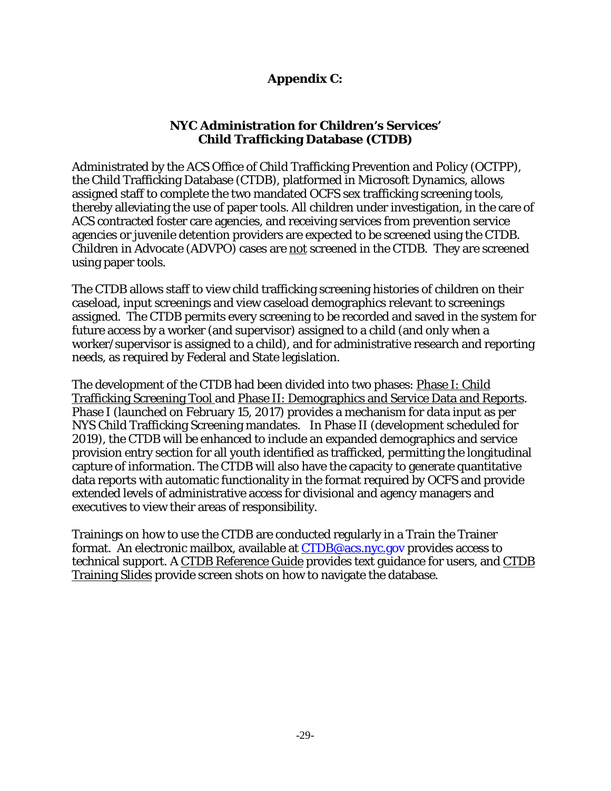# **Appendix C:**

## **NYC Administration for Children's Services' Child Trafficking Database (CTDB)**

Administrated by the ACS Office of Child Trafficking Prevention and Policy (OCTPP), the Child Trafficking Database (CTDB), platformed in Microsoft Dynamics, allows assigned staff to complete the two mandated OCFS sex trafficking screening tools, thereby alleviating the use of paper tools. All children under investigation, in the care of ACS contracted foster care agencies, and receiving services from prevention service agencies or juvenile detention providers are expected to be screened using the CTDB. Children in Advocate (ADVPO) cases are not screened in the CTDB. They are screened using paper tools.

The CTDB allows staff to view child trafficking screening histories of children on their caseload, input screenings and view caseload demographics relevant to screenings assigned. The CTDB permits every screening to be recorded and saved in the system for future access by a worker (and supervisor) assigned to a child (and only when a worker/supervisor is assigned to a child), and for administrative research and reporting needs, as required by Federal and State legislation.

The development of the CTDB had been divided into two phases: Phase I: Child Trafficking Screening Tool and Phase II: Demographics and Service Data and Reports. Phase I (launched on February 15, 2017) provides a mechanism for data input as per NYS Child Trafficking Screening mandates. In Phase II (development scheduled for 2019), the CTDB will be enhanced to include an expanded demographics and service provision entry section for all youth identified as trafficked, permitting the longitudinal capture of information. The CTDB will also have the capacity to generate quantitative data reports with automatic functionality in the format required by OCFS and provide extended levels of administrative access for divisional and agency managers and executives to view their areas of responsibility.

Trainings on how to use the CTDB are conducted regularly in a Train the Trainer format. An electronic mailbox, available at  $CTDB@acs.nyc.gov$  provides access to technical support. A CTDB Reference Guide provides text guidance for users, and CTDB Training Slides provide screen shots on how to navigate the database.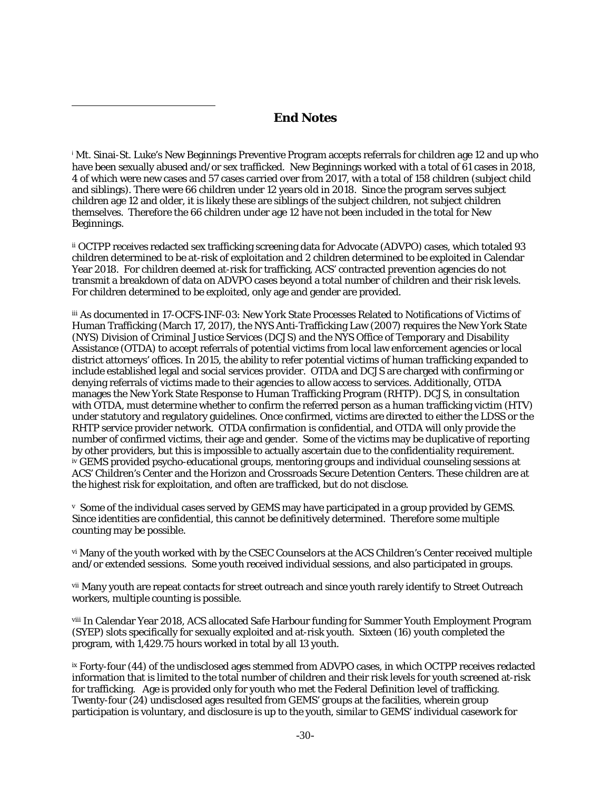## **End Notes**

<span id="page-29-0"></span> $\overline{\phantom{a}}$ 

<sup>i</sup> Mt. Sinai-St. Luke's New Beginnings Preventive Program accepts referrals for children age 12 and up who have been sexually abused and/or sex trafficked. New Beginnings worked with a total of 61 cases in 2018, 4 of which were new cases and 57 cases carried over from 2017, with a total of 158 children (subject child and siblings). There were 66 children under 12 years old in 2018. Since the program serves subject children age 12 and older, it is likely these are siblings of the subject children, not subject children themselves. Therefore the 66 children under age 12 have not been included in the total for New Beginnings.

<span id="page-29-1"></span>ii OCTPP receives redacted sex trafficking screening data for Advocate (ADVPO) cases, which totaled 93 children determined to be at-risk of exploitation and 2 children determined to be exploited in Calendar Year 2018. For children deemed at-risk for trafficking, ACS' contracted prevention agencies do not transmit a breakdown of data on ADVPO cases beyond a total number of children and their risk levels. For children determined to be exploited, only age and gender are provided.

<span id="page-29-2"></span>iii As documented in 17-OCFS-INF-03: New York State Processes Related to Notifications of Victims of Human Trafficking (March 17, 2017), the NYS Anti-Trafficking Law (2007) requires the New York State (NYS) Division of Criminal Justice Services (DCJS) and the NYS Office of Temporary and Disability Assistance (OTDA) to accept referrals of potential victims from local law enforcement agencies or local district attorneys' offices. In 2015, the ability to refer potential victims of human trafficking expanded to include established legal and social services provider. OTDA and DCJS are charged with confirming or denying referrals of victims made to their agencies to allow access to services. Additionally, OTDA manages the New York State Response to Human Trafficking Program (RHTP). DCJS, in consultation with OTDA, must determine whether to confirm the referred person as a human trafficking victim (HTV) under statutory and regulatory guidelines. Once confirmed, victims are directed to either the LDSS or the RHTP service provider network. OTDA confirmation is confidential, and OTDA will only provide the number of confirmed victims, their age and gender. Some of the victims may be duplicative of reporting by other providers, but this is impossible to actually ascertain due to the confidentiality requirement. iv GEMS provided psycho-educational groups, mentoring groups and individual counseling sessions at ACS' Children's Center and the Horizon and Crossroads Secure Detention Centers. These children are at the highest risk for exploitation, and often are trafficked, but do not disclose.

<span id="page-29-4"></span><span id="page-29-3"></span>v Some of the individual cases served by GEMS may have participated in a group provided by GEMS. Since identities are confidential, this cannot be definitively determined. Therefore some multiple counting may be possible.

vi Many of the youth worked with by the CSEC Counselors at the ACS Children's Center received multiple and/or extended sessions. Some youth received individual sessions, and also participated in groups.

vii Many youth are repeat contacts for street outreach and since youth rarely identify to Street Outreach workers, multiple counting is possible.

viii In Calendar Year 2018, ACS allocated Safe Harbour funding for Summer Youth Employment Program (SYEP) slots specifically for sexually exploited and at-risk youth. Sixteen (16) youth completed the program, with 1,429.75 hours worked in total by all 13 youth.

ix Forty-four (44) of the undisclosed ages stemmed from ADVPO cases, in which OCTPP receives redacted information that is limited to the total number of children and their risk levels for youth screened at-risk for trafficking. Age is provided only for youth who met the Federal Definition level of trafficking. Twenty-four (24) undisclosed ages resulted from GEMS' groups at the facilities, wherein group participation is voluntary, and disclosure is up to the youth, similar to GEMS' individual casework for